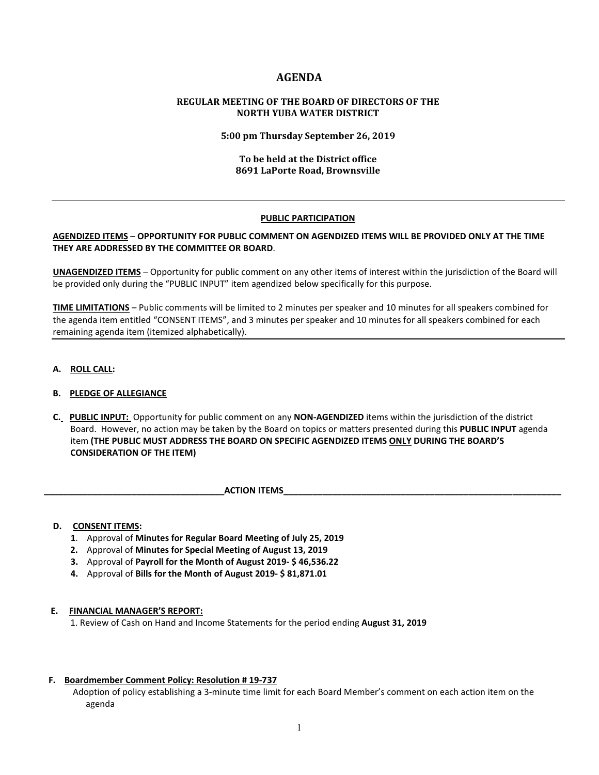## **AGENDA**

## **REGULAR MEETING OF THE BOARD OF DIRECTORS OF THE NORTH YUBA WATER DISTRICT**

### **5:00 pm Thursday September 26, 2019**

## **To be held at the District office 8691 LaPorte Road, Brownsville**

### **PUBLIC PARTICIPATION**

## **AGENDIZED ITEMS** – **OPPORTUNITY FOR PUBLIC COMMENT ON AGENDIZED ITEMS WILL BE PROVIDED ONLY AT THE TIME THEY ARE ADDRESSED BY THE COMMITTEE OR BOARD**.

**UNAGENDIZED ITEMS** – Opportunity for public comment on any other items of interest within the jurisdiction of the Board will be provided only during the "PUBLIC INPUT" item agendized below specifically for this purpose.

**TIME LIMITATIONS** – Public comments will be limited to 2 minutes per speaker and 10 minutes for all speakers combined for the agenda item entitled "CONSENT ITEMS", and 3 minutes per speaker and 10 minutes for all speakers combined for each remaining agenda item (itemized alphabetically).

**A. ROLL CALL:** 

## **B. PLEDGE OF ALLEGIANCE**

 **C. PUBLIC INPUT:** Opportunity for public comment on any **NON-AGENDIZED** items within the jurisdiction of the district Board. However, no action may be taken by the Board on topics or matters presented during this **PUBLIC INPUT** agenda item **(THE PUBLIC MUST ADDRESS THE BOARD ON SPECIFIC AGENDIZED ITEMS ONLY DURING THE BOARD'S CONSIDERATION OF THE ITEM)**

**ACTION ITEMS** 

#### **D. CONSENT ITEMS:**

- **1**. Approval of **Minutes for Regular Board Meeting of July 25, 2019**
- **2.** Approval of **Minutes for Special Meeting of August 13, 2019**
- **3.** Approval of **Payroll for the Month of August 2019- \$ 46,536.22**
- **4.** Approval of **Bills for the Month of August 2019- \$ 81,871.01**

#### **E. FINANCIAL MANAGER'S REPORT:**

1. Review of Cash on Hand and Income Statements for the period ending **August 31, 2019**

#### **F. Boardmember Comment Policy: Resolution # 19-737**

Adoption of policy establishing a 3-minute time limit for each Board Member's comment on each action item on the agenda